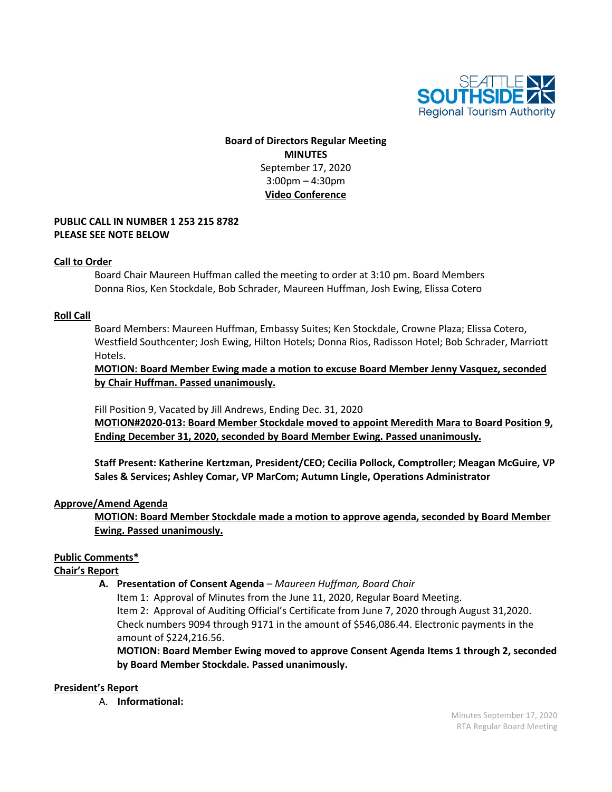

# **Board of Directors Regular Meeting MINUTES** September 17, 2020 3:00pm – 4:30pm **Video Conference**

### **PUBLIC CALL IN NUMBER 1 253 215 8782 PLEASE SEE NOTE BELOW**

### **Call to Order**

Board Chair Maureen Huffman called the meeting to order at 3:10 pm. Board Members Donna Rios, Ken Stockdale, Bob Schrader, Maureen Huffman, Josh Ewing, Elissa Cotero

### **Roll Call**

Board Members: Maureen Huffman, Embassy Suites; Ken Stockdale, Crowne Plaza; Elissa Cotero, Westfield Southcenter; Josh Ewing, Hilton Hotels; Donna Rios, Radisson Hotel; Bob Schrader, Marriott Hotels.

**MOTION: Board Member Ewing made a motion to excuse Board Member Jenny Vasquez, seconded by Chair Huffman. Passed unanimously.**

Fill Position 9, Vacated by Jill Andrews, Ending Dec. 31, 2020

**MOTION#2020-013: Board Member Stockdale moved to appoint Meredith Mara to Board Position 9, Ending December 31, 2020, seconded by Board Member Ewing. Passed unanimously.**

**Staff Present: Katherine Kertzman, President/CEO; Cecilia Pollock, Comptroller; Meagan McGuire, VP Sales & Services; Ashley Comar, VP MarCom; Autumn Lingle, Operations Administrator**

### **Approve/Amend Agenda**

**MOTION: Board Member Stockdale made a motion to approve agenda, seconded by Board Member Ewing. Passed unanimously.**

### **Public Comments\***

**Chair's Report**

**A. Presentation of Consent Agenda** *– Maureen Huffman, Board Chair*

Item 1: Approval of Minutes from the June 11, 2020, Regular Board Meeting. Item 2: Approval of Auditing Official's Certificate from June 7, 2020 through August 31,2020. Check numbers 9094 through 9171 in the amount of \$546,086.44. Electronic payments in the amount of \$224,216.56.

**MOTION: Board Member Ewing moved to approve Consent Agenda Items 1 through 2, seconded by Board Member Stockdale. Passed unanimously.**

### **President's Report**

A. **Informational:**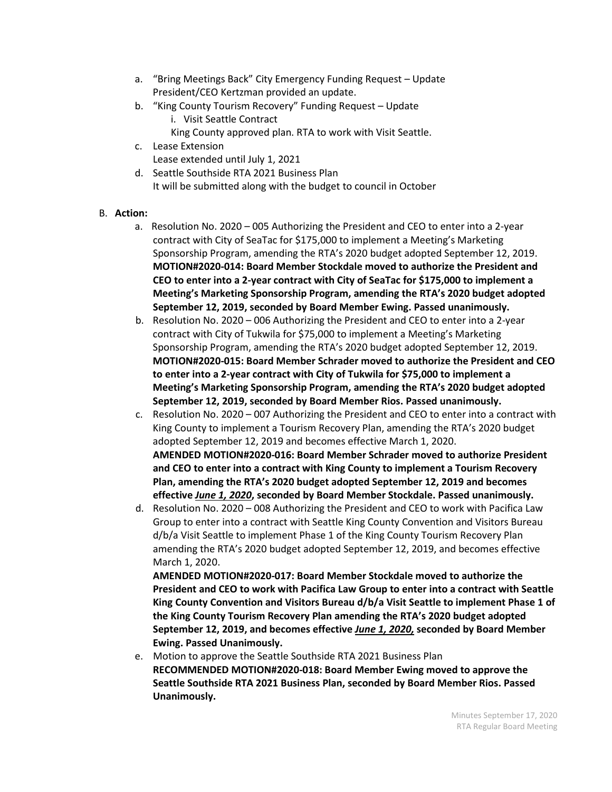- a. "Bring Meetings Back" City Emergency Funding Request Update President/CEO Kertzman provided an update.
- b. "King County Tourism Recovery" Funding Request Update
	- i. Visit Seattle Contract
	- King County approved plan. RTA to work with Visit Seattle.
- c. Lease Extension
	- Lease extended until July 1, 2021
- d. Seattle Southside RTA 2021 Business Plan It will be submitted along with the budget to council in October

# B. **Action:**

- a. Resolution No. 2020 005 Authorizing the President and CEO to enter into a 2-year contract with City of SeaTac for \$175,000 to implement a Meeting's Marketing Sponsorship Program, amending the RTA's 2020 budget adopted September 12, 2019. **MOTION#2020-014: Board Member Stockdale moved to authorize the President and CEO to enter into a 2-year contract with City of SeaTac for \$175,000 to implement a Meeting's Marketing Sponsorship Program, amending the RTA's 2020 budget adopted September 12, 2019, seconded by Board Member Ewing. Passed unanimously.**
- b. Resolution No. 2020 006 Authorizing the President and CEO to enter into a 2-year contract with City of Tukwila for \$75,000 to implement a Meeting's Marketing Sponsorship Program, amending the RTA's 2020 budget adopted September 12, 2019. **MOTION#2020-015: Board Member Schrader moved to authorize the President and CEO to enter into a 2-year contract with City of Tukwila for \$75,000 to implement a Meeting's Marketing Sponsorship Program, amending the RTA's 2020 budget adopted September 12, 2019, seconded by Board Member Rios. Passed unanimously.**
- c. Resolution No. 2020 007 Authorizing the President and CEO to enter into a contract with King County to implement a Tourism Recovery Plan, amending the RTA's 2020 budget adopted September 12, 2019 and becomes effective March 1, 2020. **AMENDED MOTION#2020-016: Board Member Schrader moved to authorize President and CEO to enter into a contract with King County to implement a Tourism Recovery Plan, amending the RTA's 2020 budget adopted September 12, 2019 and becomes effective** *June 1, 2020***, seconded by Board Member Stockdale. Passed unanimously.**
- d. Resolution No. 2020 008 Authorizing the President and CEO to work with Pacifica Law Group to enter into a contract with Seattle King County Convention and Visitors Bureau d/b/a Visit Seattle to implement Phase 1 of the King County Tourism Recovery Plan amending the RTA's 2020 budget adopted September 12, 2019, and becomes effective March 1, 2020.

**AMENDED MOTION#2020-017: Board Member Stockdale moved to authorize the President and CEO to work with Pacifica Law Group to enter into a contract with Seattle King County Convention and Visitors Bureau d/b/a Visit Seattle to implement Phase 1 of the King County Tourism Recovery Plan amending the RTA's 2020 budget adopted September 12, 2019, and becomes effective** *June 1, 2020,* **seconded by Board Member Ewing. Passed Unanimously.**

e. Motion to approve the Seattle Southside RTA 2021 Business Plan **RECOMMENDED MOTION#2020-018: Board Member Ewing moved to approve the Seattle Southside RTA 2021 Business Plan, seconded by Board Member Rios. Passed Unanimously.**